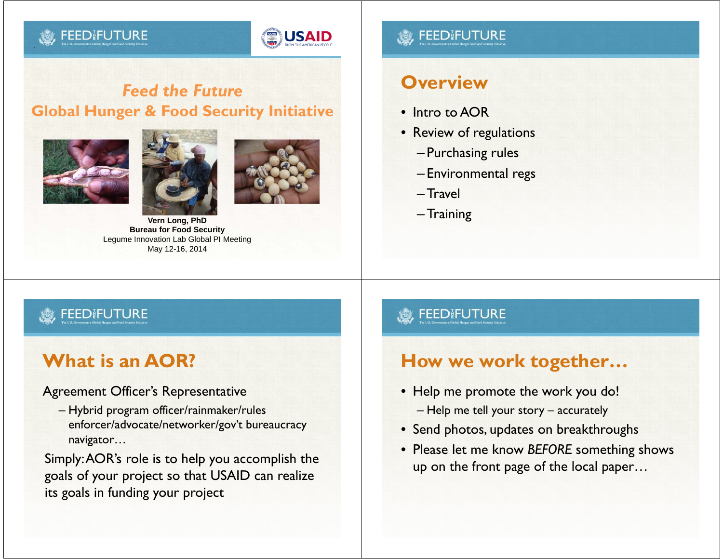## **FEEDIFUTI**



## *Feed the Future***Global Hunger & Food Security Initiative**







**Vern Long, PhD Bureau for Food Security** Legume Innovation Lab Global PI Meeting May 12-16, 2014

## **FEEDIFUTI**

## **Overview**

- Intro to AOR
- Review of regulations
	- Purchasing rules
	- Environmental regs
	- –Travel
	- –Training

## **FEEDIFUTURE**

# **What is an AOR?**

Agreement Officer's Representative

– Hybrid program officer/rainmaker/rules enforcer/advocate/networker/gov't bureaucracy navigator…

Simply: AOR's role is to help you accomplish the goals of your project so that USAID can realize its goals in funding your project

## **FEEDIFUTURE**

## **How we work together…**

- Help me promote the work you do! – Help me tell your story – accurately
- Send photos, updates on breakthroughs
- Please let me know *BEFORE* something shows up on the front page of the local paper…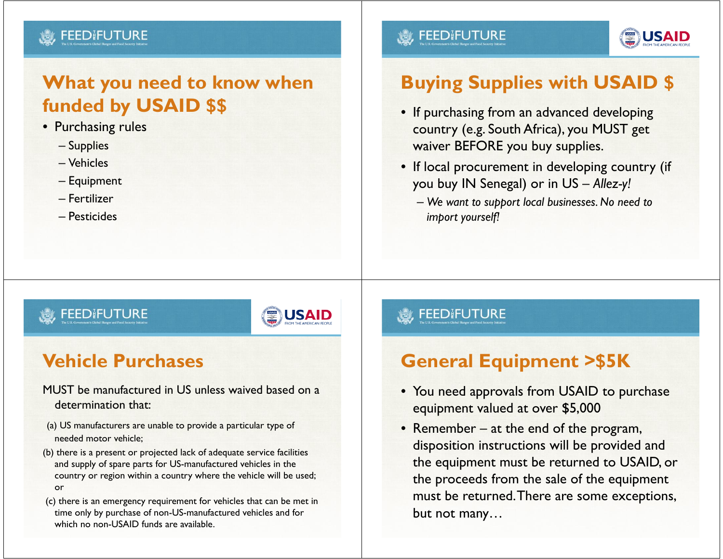#### FEEDIFUTI

# **What you need to know when funded by USAID \$\$**

- Purchasing rules
	- Supplies
	- Vehicles
	- Equipment
	- Fertilizer
	- Pesticides

## **FEED FUTURE**



# **Buying Supplies with USAID \$**

- If purchasing from an advanced developing country (e.g. South Africa), you MUST get waiver BEFORE you buy supplies.
- If local procurement in developing country (if you buy IN Senegal) or in US – *Allez-y!*
	- *We want to support local businesses. No need to import yourself!*

### **FEEDIFUTURE**



# **Vehicle Purchases**

#### MUST be manufactured in US unless waived based on a determination that:

- (a) US manufacturers are unable to provide a particular type of needed motor vehicle;
- (b) there is a present or projected lack of adequate service facilities and supply of spare parts for US-manufactured vehicles in the country or region within a country where the vehicle will be used; or
- (c) there is an emergency requirement for vehicles that can be met in time only by purchase of non-US-manufactured vehicles and for which no non-USAID funds are available.

## **FEEDIFUTURE**

# **General Equipment >\$5K**

- You need approvals from USAID to purchase equipment valued at over \$5,000
- Remember at the end of the program, disposition instructions will be provided and the equipment must be returned to USAID, or the proceeds from the sale of the equipment must be returned. There are some exceptions, but not many…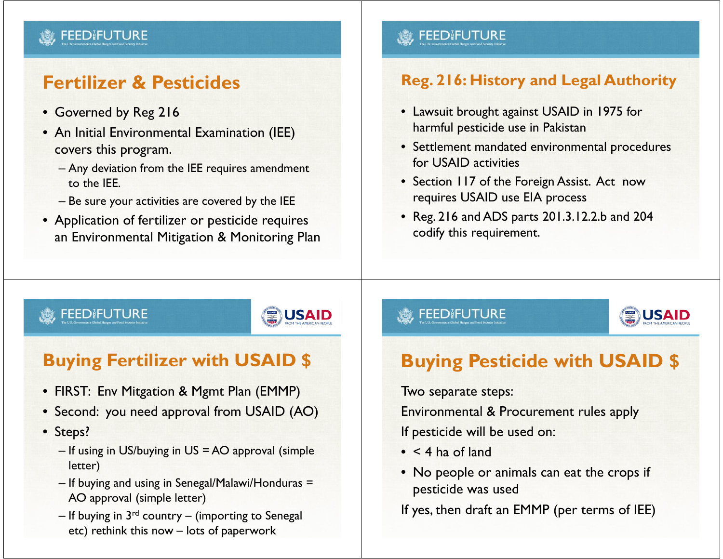### **FEEDIFUTURE**

# **Fertilizer & Pesticides**

- Governed by Reg 216
- An Initial Environmental Examination (IEE) covers this program.
	- Any deviation from the IEE requires amendment to the IEE.
	- Be sure your activities are covered by the IEE
- Application of fertilizer or pesticide requires an Environmental Mitigation & Monitoring Plan

## **. y FEED FUTURE**

## **Reg. 216: History and Legal Authority**

- Lawsuit brought against USAID in 1975 for harmful pesticide use in Pakistan
- Settlement mandated environmental procedures for USAID activities
- Section 117 of the Foreign Assist. Act now requires USAID use EIA process
- Reg. 216 and ADS parts 201.3.12.2.b and 204 codify this requirement.

## FEEDIFUTURE



# **Buying Fertilizer with USAID \$**

- FIRST: Env Mitgation & Mgmt Plan (EMMP)
- Second: you need approval from USAID (AO)
- Steps?
	- If using in US/buying in US = AO approval (simple letter)
	- If buying and using in Senegal/Malawi/Honduras = AO approval (simple letter)
	- $-$  If buying in  $3^{\text{rd}}$  country  $-$  (importing to Senegal) etc) rethink this now – lots of paperwork

## **S. FEEDIFUTURE**



# **Buying Pesticide with USAID \$**

Two separate steps:

Environmental & Procurement rules apply

If pesticide will be used on:

- < 4 ha of land
- No people or animals can eat the crops if pesticide was used

If yes, then draft an EMMP (per terms of IEE)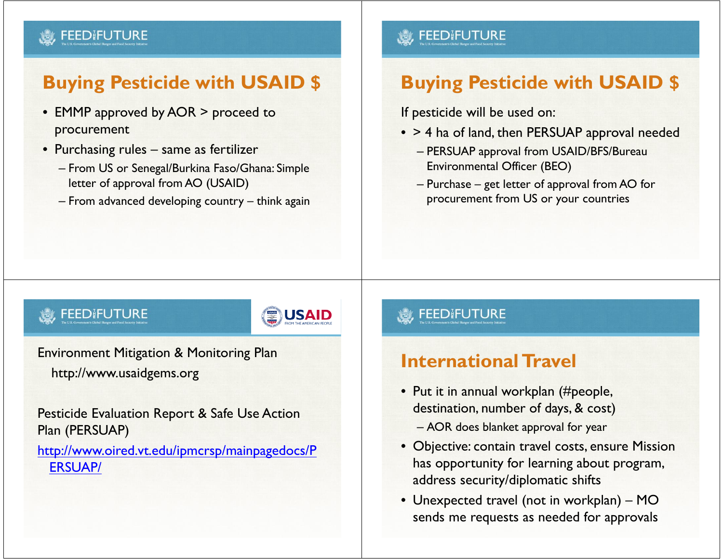#### **FEED FUTURE**

# **Buying Pesticide with USAID \$**

- EMMP approved by AOR > proceed to procurement
- Purchasing rules same as fertilizer
	- From US or Senegal/Burkina Faso/Ghana: Simple letter of approval from AO (USAID)
	- From advanced developing country think again

## **FEEDIFUTURE**

# **Buying Pesticide with USAID \$**

If pesticide will be used on:

- > 4 ha of land, then PERSUAP approval needed
	- PERSUAP approval from USAID/BFS/Bureau Environmental Officer (BEO)
	- Purchase get letter of approval from AO for procurement from US or your countries

## **FEEDIFUTURE**



Environment Mitigation & Monitoring Plan http://www.usaidgems.org

Pesticide Evaluation Report & Safe Use Action Plan (PERSUAP)

#### http://www.oired.vt.edu/ipmcrsp/mainpagedocs/P ERSUAP/

## **S**, FEEDIFUTURE

# **International Travel**

- Put it in annual workplan (#people, destination, number of days, & cost) – AOR does blanket approval for year
- Objective: contain travel costs, ensure Mission has opportunity for learning about program, address security/diplomatic shifts
- Unexpected travel (not in workplan) MO sends me requests as needed for approvals